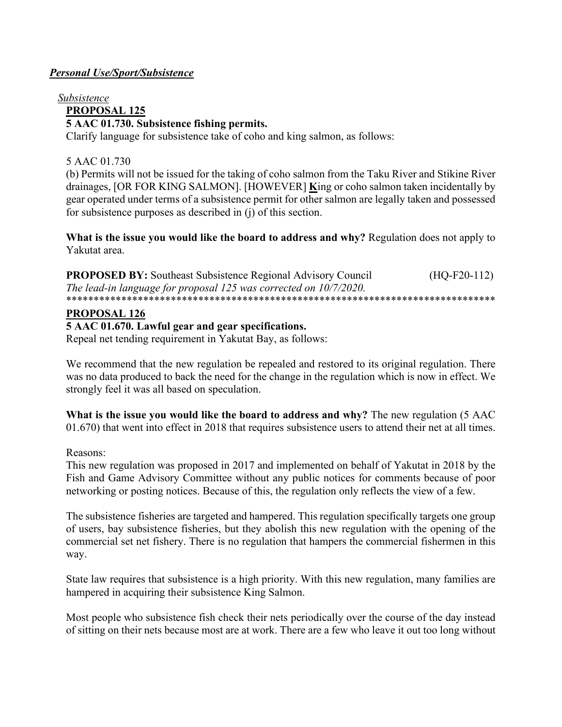# **Personal Use/Sport/Subsistence**

# Subsistence **PROPOSAL 125** 5 AAC 01.730. Subsistence fishing permits.

Clarify language for subsistence take of coho and king salmon, as follows:

# 5 AAC 01.730

(b) Permits will not be issued for the taking of coho salmon from the Taku River and Stikine River drainages, JOR FOR KING SALMON]. [HOWEVER] King or coho salmon taken incidentally by gear operated under terms of a subsistence permit for other salmon are legally taken and possessed for subsistence purposes as described in  $(i)$  of this section.

What is the issue you would like the board to address and why? Regulation does not apply to Yakutat area.

| <b>PROPOSED BY:</b> Southeast Subsistence Regional Advisory Council | $(HQ-F20-112)$ |
|---------------------------------------------------------------------|----------------|
| The lead-in language for proposal 125 was corrected on 10/7/2020.   |                |
|                                                                     |                |

# PROPOSAL 126

### 5 AAC 01.670. Lawful gear and gear specifications.

Repeal net tending requirement in Yakutat Bay, as follows:

We recommend that the new regulation be repealed and restored to its original regulation. There was no data produced to back the need for the change in the regulation which is now in effect. We strongly feel it was all based on speculation.

What is the issue you would like the board to address and why? The new regulation (5 AAC 01.670) that went into effect in 2018 that requires subsistence users to attend their net at all times.

### Reasons:

This new regulation was proposed in 2017 and implemented on behalf of Yakutat in 2018 by the Fish and Game Advisory Committee without any public notices for comments because of poor networking or posting notices. Because of this, the regulation only reflects the view of a few.

The subsistence fisheries are targeted and hampered. This regulation specifically targets one group of users, bay subsistence fisheries, but they abolish this new regulation with the opening of the commercial set net fishery. There is no regulation that hampers the commercial fishermen in this way.

State law requires that subsistence is a high priority. With this new regulation, many families are hampered in acquiring their subsistence King Salmon.

Most people who subsistence fish check their nets periodically over the course of the day instead of sitting on their nets because most are at work. There are a few who leave it out too long without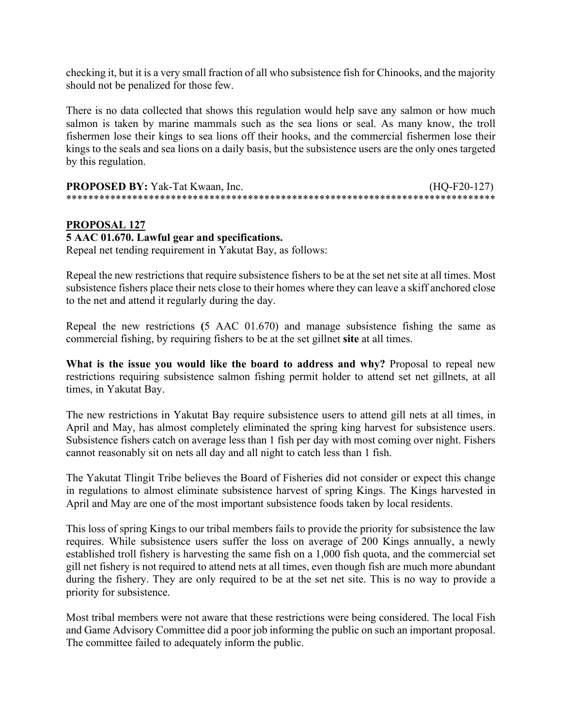checking it, but it is a very small fraction of all who subsistence fish for Chinooks, and the majority should not be penalized for those few.

There is no data collected that shows this regulation would help save any salmon or how much salmon is taken by marine mammals such as the sea lions or seal. As many know, the troll fishermen lose their kings to sea lions off their hooks, and the commercial fishermen lose their kings to the seals and sea lions on a daily basis, but the subsistence users are the only ones targeted by this regulation.

| <b>PROPOSED BY:</b> Yak-Tat Kwaan, Inc. | $(HQ-F20-127)$ |
|-----------------------------------------|----------------|
|                                         |                |

### **PROPOSAL 127**

#### **5 AAC 01.670. Lawful gear and specifications.**

Repeal net tending requirement in Yakutat Bay, as follows:

Repeal the new restrictions that require subsistence fishers to be at the set net site at all times. Most subsistence fishers place their nets close to their homes where they can leave a skiff anchored close to the net and attend it regularly during the day.

Repeal the new restrictions **(**5 AAC 01.670) and manage subsistence fishing the same as commercial fishing, by requiring fishers to be at the set gillnet **site** at all times.

**What is the issue you would like the board to address and why?** Proposal to repeal new restrictions requiring subsistence salmon fishing permit holder to attend set net gillnets, at all times, in Yakutat Bay.

The new restrictions in Yakutat Bay require subsistence users to attend gill nets at all times, in April and May, has almost completely eliminated the spring king harvest for subsistence users. Subsistence fishers catch on average less than 1 fish per day with most coming over night. Fishers cannot reasonably sit on nets all day and all night to catch less than 1 fish.

The Yakutat Tlingit Tribe believes the Board of Fisheries did not consider or expect this change in regulations to almost eliminate subsistence harvest of spring Kings. The Kings harvested in April and May are one of the most important subsistence foods taken by local residents.

This loss of spring Kings to our tribal members fails to provide the priority for subsistence the law requires. While subsistence users suffer the loss on average of 200 Kings annually, a newly established troll fishery is harvesting the same fish on a 1,000 fish quota, and the commercial set gill net fishery is not required to attend nets at all times, even though fish are much more abundant during the fishery. They are only required to be at the set net site. This is no way to provide a priority for subsistence.

Most tribal members were not aware that these restrictions were being considered. The local Fish and Game Advisory Committee did a poor job informing the public on such an important proposal. The committee failed to adequately inform the public.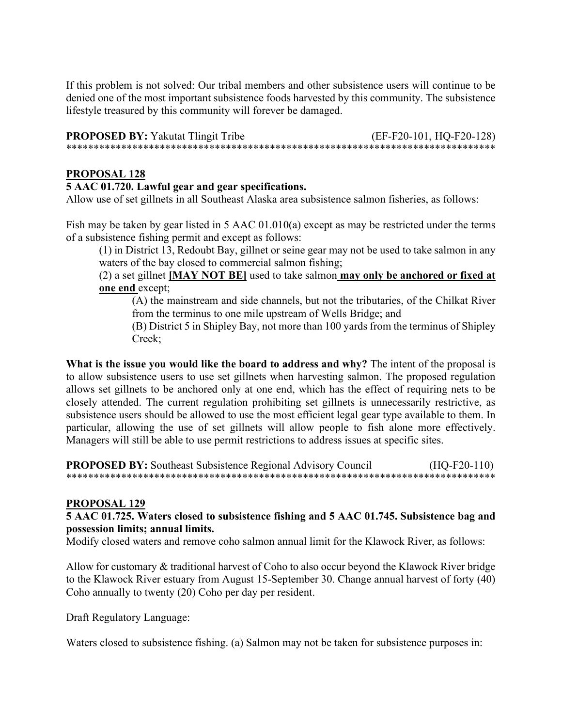If this problem is not solved: Our tribal members and other subsistence users will continue to be denied one of the most important subsistence foods harvested by this community. The subsistence lifestyle treasured by this community will forever be damaged.

**PROPOSED BY:** Yakutat Tlingit Tribe (EF-F20-101, HQ-F20-128) \*\*\*\*\*\*\*\*\*\*\*\*\*\*\*\*\*\*\*\*\*\*\*\*\*\*\*\*\*\*\*\*\*\*\*\*\*\*\*\*\*\*\*\*\*\*\*\*\*\*\*\*\*\*\*\*\*\*\*\*\*\*\*\*\*\*\*\*\*\*\*\*\*\*\*\*\*\*

## **PROPOSAL 128**

# **5 AAC 01.720. Lawful gear and gear specifications.**

Allow use of set gillnets in all Southeast Alaska area subsistence salmon fisheries, as follows:

Fish may be taken by gear listed in 5 AAC 01.010(a) except as may be restricted under the terms of a subsistence fishing permit and except as follows:

(1) in District 13, Redoubt Bay, gillnet or seine gear may not be used to take salmon in any waters of the bay closed to commercial salmon fishing;

(2) a set gillnet **[MAY NOT BE]** used to take salmon **may only be anchored or fixed at one end** except;

(A) the mainstream and side channels, but not the tributaries, of the Chilkat River from the terminus to one mile upstream of Wells Bridge; and

(B) District 5 in Shipley Bay, not more than 100 yards from the terminus of Shipley Creek;

**What is the issue you would like the board to address and why?** The intent of the proposal is to allow subsistence users to use set gillnets when harvesting salmon. The proposed regulation allows set gillnets to be anchored only at one end, which has the effect of requiring nets to be closely attended. The current regulation prohibiting set gillnets is unnecessarily restrictive, as subsistence users should be allowed to use the most efficient legal gear type available to them. In particular, allowing the use of set gillnets will allow people to fish alone more effectively. Managers will still be able to use permit restrictions to address issues at specific sites.

#### **PROPOSED BY:** Southeast Subsistence Regional Advisory Council (HO-F20-110) \*\*\*\*\*\*\*\*\*\*\*\*\*\*\*\*\*\*\*\*\*\*\*\*\*\*\*\*\*\*\*\*\*\*\*\*\*\*\*\*\*\*\*\*\*\*\*\*\*\*\*\*\*\*\*\*\*\*\*\*\*\*\*\*\*\*\*\*\*\*\*\*\*\*\*\*\*\*

### **PROPOSAL 129**

### **5 AAC 01.725. Waters closed to subsistence fishing and 5 AAC 01.745. Subsistence bag and possession limits; annual limits.**

Modify closed waters and remove coho salmon annual limit for the Klawock River, as follows:

Allow for customary & traditional harvest of Coho to also occur beyond the Klawock River bridge to the Klawock River estuary from August 15-September 30. Change annual harvest of forty (40) Coho annually to twenty (20) Coho per day per resident.

Draft Regulatory Language:

Waters closed to subsistence fishing. (a) Salmon may not be taken for subsistence purposes in: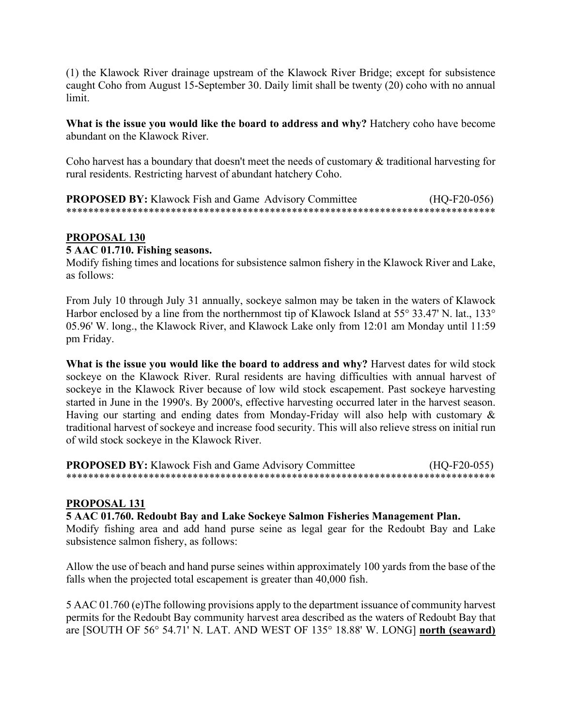(1) the Klawock River drainage upstream of the Klawock River Bridge; except for subsistence caught Coho from August 15-September 30. Daily limit shall be twenty (20) coho with no annual limit.

**What is the issue you would like the board to address and why?** Hatchery coho have become abundant on the Klawock River.

Coho harvest has a boundary that doesn't meet the needs of customary & traditional harvesting for rural residents. Restricting harvest of abundant hatchery Coho.

**PROPOSED BY:** Klawock Fish and Game Advisory Committee (HQ-F20-056) \*\*\*\*\*\*\*\*\*\*\*\*\*\*\*\*\*\*\*\*\*\*\*\*\*\*\*\*\*\*\*\*\*\*\*\*\*\*\*\*\*\*\*\*\*\*\*\*\*\*\*\*\*\*\*\*\*\*\*\*\*\*\*\*\*\*\*\*\*\*\*\*\*\*\*\*\*\*

# **PROPOSAL 130**

#### **5 AAC 01.710. Fishing seasons.**

Modify fishing times and locations for subsistence salmon fishery in the Klawock River and Lake, as follows:

From July 10 through July 31 annually, sockeye salmon may be taken in the waters of Klawock Harbor enclosed by a line from the northernmost tip of Klawock Island at 55° 33.47' N. lat., 133° 05.96' W. long., the Klawock River, and Klawock Lake only from 12:01 am Monday until 11:59 pm Friday.

**What is the issue you would like the board to address and why?** Harvest dates for wild stock sockeye on the Klawock River. Rural residents are having difficulties with annual harvest of sockeye in the Klawock River because of low wild stock escapement. Past sockeye harvesting started in June in the 1990's. By 2000's, effective harvesting occurred later in the harvest season. Having our starting and ending dates from Monday-Friday will also help with customary & traditional harvest of sockeye and increase food security. This will also relieve stress on initial run of wild stock sockeye in the Klawock River.

**PROPOSED BY:** Klawock Fish and Game Advisory Committee (HO-F20-055) \*\*\*\*\*\*\*\*\*\*\*\*\*\*\*\*\*\*\*\*\*\*\*\*\*\*\*\*\*\*\*\*\*\*\*\*\*\*\*\*\*\*\*\*\*\*\*\*\*\*\*\*\*\*\*\*\*\*\*\*\*\*\*\*\*\*\*\*\*\*\*\*\*\*\*\*\*\*

### **PROPOSAL 131**

#### **5 AAC 01.760. Redoubt Bay and Lake Sockeye Salmon Fisheries Management Plan.**

Modify fishing area and add hand purse seine as legal gear for the Redoubt Bay and Lake subsistence salmon fishery, as follows:

Allow the use of beach and hand purse seines within approximately 100 yards from the base of the falls when the projected total escapement is greater than 40,000 fish.

5 AAC 01.760 (e)The following provisions apply to the department issuance of community harvest permits for the Redoubt Bay community harvest area described as the waters of Redoubt Bay that are [SOUTH OF 56° 54.71' N. LAT. AND WEST OF 135° 18.88' W. LONG] **north (seaward)**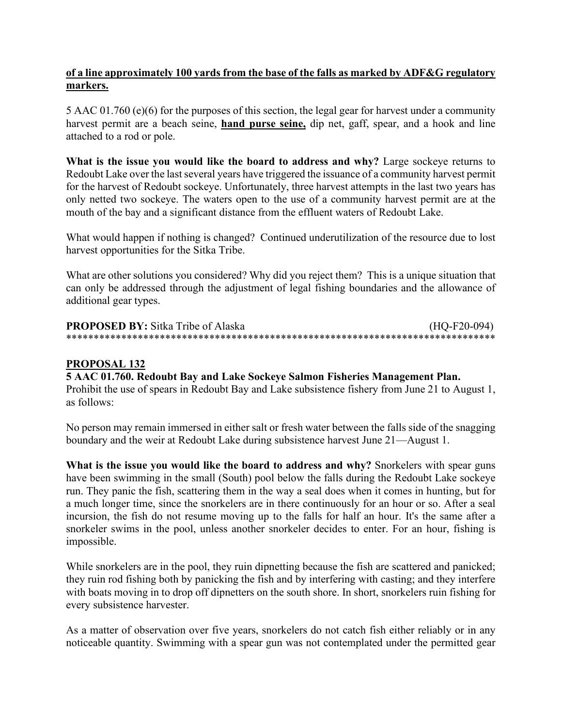# **of a line approximately 100 yards from the base of the falls as marked by ADF&G regulatory markers.**

5 AAC 01.760 (e)(6) for the purposes of this section, the legal gear for harvest under a community harvest permit are a beach seine, **hand purse seine,** dip net, gaff, spear, and a hook and line attached to a rod or pole.

**What is the issue you would like the board to address and why?** Large sockeye returns to Redoubt Lake over the last several years have triggered the issuance of a community harvest permit for the harvest of Redoubt sockeye. Unfortunately, three harvest attempts in the last two years has only netted two sockeye. The waters open to the use of a community harvest permit are at the mouth of the bay and a significant distance from the effluent waters of Redoubt Lake.

What would happen if nothing is changed?Continued underutilization of the resource due to lost harvest opportunities for the Sitka Tribe.

What are other solutions you considered? Why did you reject them? This is a unique situation that can only be addressed through the adjustment of legal fishing boundaries and the allowance of additional gear types.

**PROPOSED BY:** Sitka Tribe of Alaska (HQ-F20-094) \*\*\*\*\*\*\*\*\*\*\*\*\*\*\*\*\*\*\*\*\*\*\*\*\*\*\*\*\*\*\*\*\*\*\*\*\*\*\*\*\*\*\*\*\*\*\*\*\*\*\*\*\*\*\*\*\*\*\*\*\*\*\*\*\*\*\*\*\*\*\*\*\*\*\*\*\*\*

# **PROPOSAL 132**

### **5 AAC 01.760. Redoubt Bay and Lake Sockeye Salmon Fisheries Management Plan.**

Prohibit the use of spears in Redoubt Bay and Lake subsistence fishery from June 21 to August 1, as follows:

No person may remain immersed in either salt or fresh water between the falls side of the snagging boundary and the weir at Redoubt Lake during subsistence harvest June 21—August 1.

**What is the issue you would like the board to address and why?** Snorkelers with spear guns have been swimming in the small (South) pool below the falls during the Redoubt Lake sockeye run. They panic the fish, scattering them in the way a seal does when it comes in hunting, but for a much longer time, since the snorkelers are in there continuously for an hour or so. After a seal incursion, the fish do not resume moving up to the falls for half an hour. It's the same after a snorkeler swims in the pool, unless another snorkeler decides to enter. For an hour, fishing is impossible.

While snorkelers are in the pool, they ruin dipnetting because the fish are scattered and panicked; they ruin rod fishing both by panicking the fish and by interfering with casting; and they interfere with boats moving in to drop off dipnetters on the south shore. In short, snorkelers ruin fishing for every subsistence harvester.

As a matter of observation over five years, snorkelers do not catch fish either reliably or in any noticeable quantity. Swimming with a spear gun was not contemplated under the permitted gear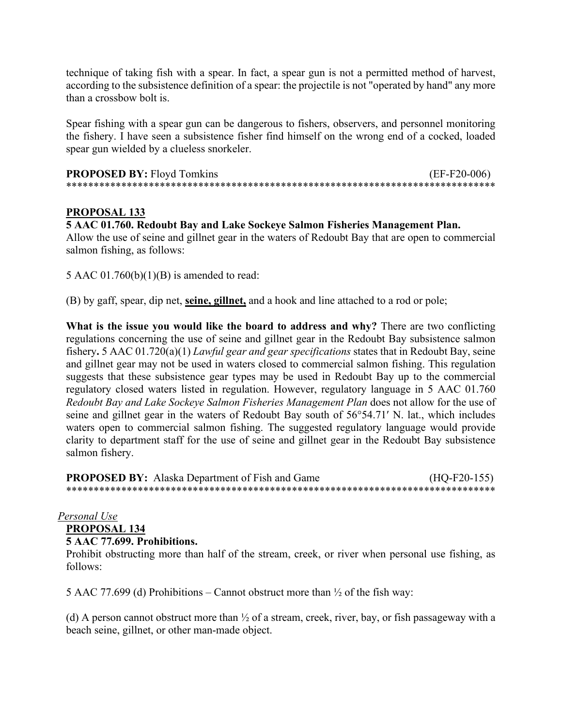technique of taking fish with a spear. In fact, a spear gun is not a permitted method of harvest, according to the subsistence definition of a spear: the projectile is not "operated by hand" any more than a crossbow bolt is.

Spear fishing with a spear gun can be dangerous to fishers, observers, and personnel monitoring the fishery. I have seen a subsistence fisher find himself on the wrong end of a cocked, loaded spear gun wielded by a clueless snorkeler.

| <b>PROPOSED BY: Floyd Tomkins</b> | $(EF-F20-006)$ |
|-----------------------------------|----------------|
|                                   |                |

# **PROPOSAL 133**

#### **5 AAC 01.760. Redoubt Bay and Lake Sockeye Salmon Fisheries Management Plan.**

Allow the use of seine and gillnet gear in the waters of Redoubt Bay that are open to commercial salmon fishing, as follows:

5 AAC 01.760(b)(1)(B) is amended to read:

(B) by gaff, spear, dip net, **seine, gillnet,** and a hook and line attached to a rod or pole;

**What is the issue you would like the board to address and why?** There are two conflicting regulations concerning the use of seine and gillnet gear in the Redoubt Bay subsistence salmon fishery**.** 5 AAC 01.720(a)(1) *Lawful gear and gear specifications* states that in Redoubt Bay, seine and gillnet gear may not be used in waters closed to commercial salmon fishing. This regulation suggests that these subsistence gear types may be used in Redoubt Bay up to the commercial regulatory closed waters listed in regulation. However, regulatory language in 5 AAC 01.760 *Redoubt Bay and Lake Sockeye Salmon Fisheries Management Plan* does not allow for the use of seine and gillnet gear in the waters of Redoubt Bay south of 56°54.71′ N. lat., which includes waters open to commercial salmon fishing. The suggested regulatory language would provide clarity to department staff for the use of seine and gillnet gear in the Redoubt Bay subsistence salmon fishery.

**PROPOSED BY:** Alaska Department of Fish and Game (HQ-F20-155) \*\*\*\*\*\*\*\*\*\*\*\*\*\*\*\*\*\*\*\*\*\*\*\*\*\*\*\*\*\*\*\*\*\*\*\*\*\*\*\*\*\*\*\*\*\*\*\*\*\*\*\*\*\*\*\*\*\*\*\*\*\*\*\*\*\*\*\*\*\*\*\*\*\*\*\*\*\*

### *Personal Use*

**PROPOSAL 134**

**5 AAC 77.699. Prohibitions.**

Prohibit obstructing more than half of the stream, creek, or river when personal use fishing, as follows:

5 AAC 77.699 (d) Prohibitions – Cannot obstruct more than  $\frac{1}{2}$  of the fish way:

(d) A person cannot obstruct more than  $\frac{1}{2}$  of a stream, creek, river, bay, or fish passageway with a beach seine, gillnet, or other man-made object.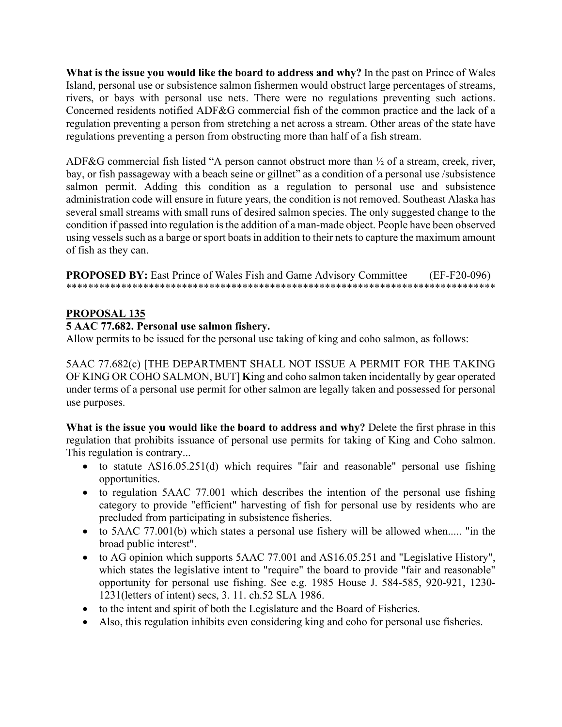**What is the issue you would like the board to address and why?** In the past on Prince of Wales Island, personal use or subsistence salmon fishermen would obstruct large percentages of streams, rivers, or bays with personal use nets. There were no regulations preventing such actions. Concerned residents notified ADF&G commercial fish of the common practice and the lack of a regulation preventing a person from stretching a net across a stream. Other areas of the state have regulations preventing a person from obstructing more than half of a fish stream.

ADF&G commercial fish listed "A person cannot obstruct more than ½ of a stream, creek, river, bay, or fish passageway with a beach seine or gillnet" as a condition of a personal use /subsistence salmon permit. Adding this condition as a regulation to personal use and subsistence administration code will ensure in future years, the condition is not removed. Southeast Alaska has several small streams with small runs of desired salmon species. The only suggested change to the condition if passed into regulation is the addition of a man-made object. People have been observed using vessels such as a barge or sport boats in addition to their nets to capture the maximum amount of fish as they can.

**PROPOSED BY:** East Prince of Wales Fish and Game Advisory Committee (EF-F20-096) \*\*\*\*\*\*\*\*\*\*\*\*\*\*\*\*\*\*\*\*\*\*\*\*\*\*\*\*\*\*\*\*\*\*\*\*\*\*\*\*\*\*\*\*\*\*\*\*\*\*\*\*\*\*\*\*\*\*\*\*\*\*\*\*\*\*\*\*\*\*\*\*\*\*\*\*\*\*

# **PROPOSAL 135**

### **5 AAC 77.682. Personal use salmon fishery.**

Allow permits to be issued for the personal use taking of king and coho salmon, as follows:

5AAC 77.682(c) [THE DEPARTMENT SHALL NOT ISSUE A PERMIT FOR THE TAKING OF KING OR COHO SALMON, BUT] **K**ing and coho salmon taken incidentally by gear operated under terms of a personal use permit for other salmon are legally taken and possessed for personal use purposes.

**What is the issue you would like the board to address and why?** Delete the first phrase in this regulation that prohibits issuance of personal use permits for taking of King and Coho salmon. This regulation is contrary...

- to statute AS16.05.251(d) which requires "fair and reasonable" personal use fishing opportunities.
- to regulation 5AAC 77.001 which describes the intention of the personal use fishing category to provide "efficient" harvesting of fish for personal use by residents who are precluded from participating in subsistence fisheries.
- to 5AAC 77.001(b) which states a personal use fishery will be allowed when..... "in the broad public interest".
- to AG opinion which supports 5AAC 77.001 and AS16.05.251 and "Legislative History", which states the legislative intent to "require" the board to provide "fair and reasonable" opportunity for personal use fishing. See e.g. 1985 House J. 584-585, 920-921, 1230- 1231(letters of intent) secs, 3. 11. ch.52 SLA 1986.
- to the intent and spirit of both the Legislature and the Board of Fisheries.
- Also, this regulation inhibits even considering king and coho for personal use fisheries.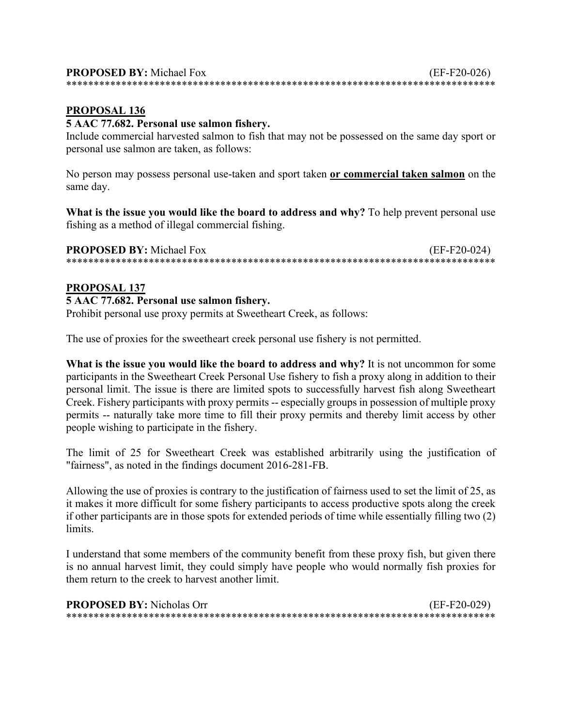# 5 AAC 77.682. Personal use salmon fishery.

Include commercial harvested salmon to fish that may not be possessed on the same day sport or personal use salmon are taken, as follows:

No person may possess personal use-taken and sport taken or commercial taken salmon on the same day.

What is the issue you would like the board to address and why? To help prevent personal use fishing as a method of illegal commercial fishing.

**PROPOSED BY:** Michael Fox  $(EF-F20-024)$ 

#### PROPOSAL 137

# 5 AAC 77.682. Personal use salmon fishery.

Prohibit personal use proxy permits at Sweetheart Creek, as follows:

The use of proxies for the sweetheart creek personal use fishery is not permitted.

What is the issue you would like the board to address and why? It is not uncommon for some participants in the Sweetheart Creek Personal Use fishery to fish a proxy along in addition to their personal limit. The issue is there are limited spots to successfully harvest fish along Sweetheart Creek. Fishery participants with proxy permits -- especially groups in possession of multiple proxy permits -- naturally take more time to fill their proxy permits and thereby limit access by other people wishing to participate in the fishery.

The limit of 25 for Sweetheart Creek was established arbitrarily using the justification of "fairness", as noted in the findings document 2016-281-FB.

Allowing the use of proxies is contrary to the justification of fairness used to set the limit of 25, as it makes it more difficult for some fishery participants to access productive spots along the creek if other participants are in those spots for extended periods of time while essentially filling two (2) limits.

I understand that some members of the community benefit from these proxy fish, but given there is no annual harvest limit, they could simply have people who would normally fish proxies for them return to the creek to harvest another limit.

| <b>PROPOSED BY:</b> Nicholas Orr | (EF-F20-029) |
|----------------------------------|--------------|
|                                  |              |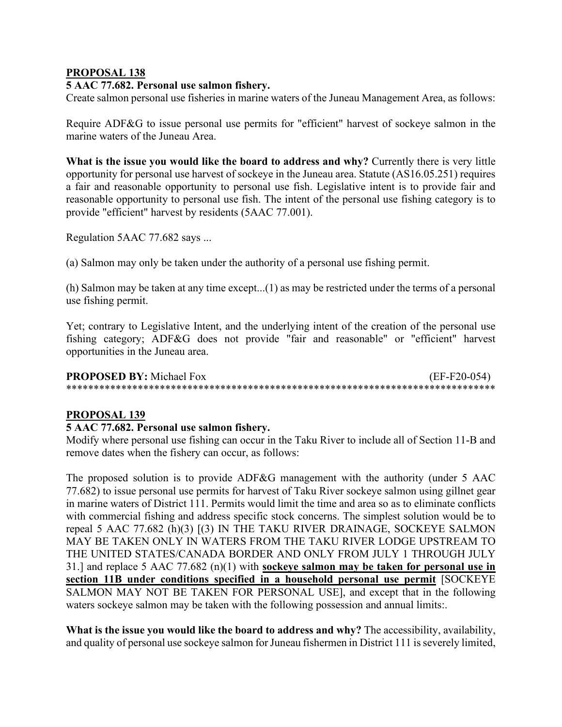### **5 AAC 77.682. Personal use salmon fishery.**

Create salmon personal use fisheries in marine waters of the Juneau Management Area, as follows:

Require ADF&G to issue personal use permits for "efficient" harvest of sockeye salmon in the marine waters of the Juneau Area.

**What is the issue you would like the board to address and why?** Currently there is very little opportunity for personal use harvest of sockeye in the Juneau area. Statute (AS16.05.251) requires a fair and reasonable opportunity to personal use fish. Legislative intent is to provide fair and reasonable opportunity to personal use fish. The intent of the personal use fishing category is to provide "efficient" harvest by residents (5AAC 77.001).

Regulation 5AAC 77.682 says ...

(a) Salmon may only be taken under the authority of a personal use fishing permit.

(h) Salmon may be taken at any time except...(1) as may be restricted under the terms of a personal use fishing permit.

Yet; contrary to Legislative Intent, and the underlying intent of the creation of the personal use fishing category; ADF&G does not provide "fair and reasonable" or "efficient" harvest opportunities in the Juneau area.

**PROPOSED BY:** Michael Fox (EF-F20-054) \*\*\*\*\*\*\*\*\*\*\*\*\*\*\*\*\*\*\*\*\*\*\*\*\*\*\*\*\*\*\*\*\*\*\*\*\*\*\*\*\*\*\*\*\*\*\*\*\*\*\*\*\*\*\*\*\*\*\*\*\*\*\*\*\*\*\*\*\*\*\*\*\*\*\*\*\*\*

#### **PROPOSAL 139**

### **5 AAC 77.682. Personal use salmon fishery.**

Modify where personal use fishing can occur in the Taku River to include all of Section 11-B and remove dates when the fishery can occur, as follows:

The proposed solution is to provide ADF&G management with the authority (under 5 AAC 77.682) to issue personal use permits for harvest of Taku River sockeye salmon using gillnet gear in marine waters of District 111. Permits would limit the time and area so as to eliminate conflicts with commercial fishing and address specific stock concerns. The simplest solution would be to repeal 5 AAC 77.682 (h)(3) [(3) IN THE TAKU RIVER DRAINAGE, SOCKEYE SALMON MAY BE TAKEN ONLY IN WATERS FROM THE TAKU RIVER LODGE UPSTREAM TO THE UNITED STATES/CANADA BORDER AND ONLY FROM JULY 1 THROUGH JULY 31.] and replace 5 AAC 77.682 (n)(1) with **sockeye salmon may be taken for personal use in section 11B under conditions specified in a household personal use permit** [SOCKEYE SALMON MAY NOT BE TAKEN FOR PERSONAL USE], and except that in the following waters sockeye salmon may be taken with the following possession and annual limits:.

**What is the issue you would like the board to address and why?** The accessibility, availability, and quality of personal use sockeye salmon for Juneau fishermen in District 111 is severely limited,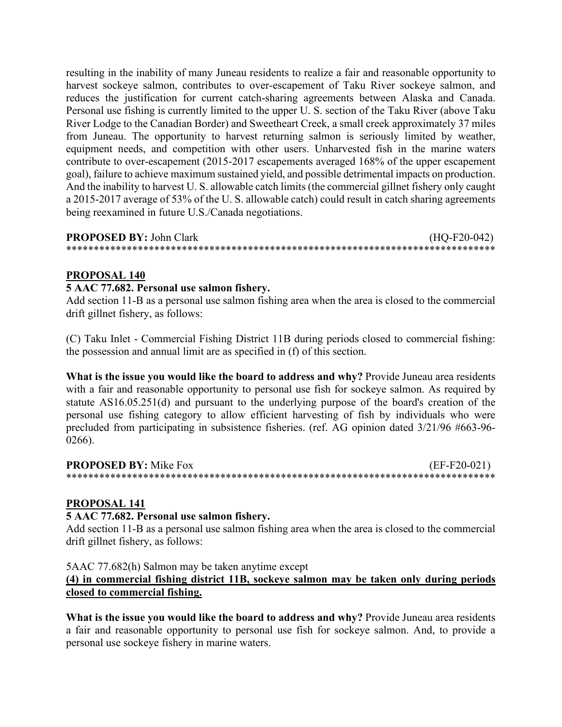resulting in the inability of many Juneau residents to realize a fair and reasonable opportunity to harvest sockeye salmon, contributes to over-escapement of Taku River sockeye salmon, and reduces the justification for current catch-sharing agreements between Alaska and Canada. Personal use fishing is currently limited to the upper U. S. section of the Taku River (above Taku River Lodge to the Canadian Border) and Sweetheart Creek, a small creek approximately 37 miles from Juneau. The opportunity to harvest returning salmon is seriously limited by weather, equipment needs, and competition with other users. Unharvested fish in the marine waters contribute to over-escapement (2015-2017 escapements averaged 168% of the upper escapement goal), failure to achieve maximum sustained yield, and possible detrimental impacts on production. And the inability to harvest U. S. allowable catch limits (the commercial gillnet fishery only caught a 2015-2017 average of 53% of the U. S. allowable catch) could result in catch sharing agreements being reexamined in future U.S./Canada negotiations.

#### **PROPOSED BY:** John Clark (HQ-F20-042) \*\*\*\*\*\*\*\*\*\*\*\*\*\*\*\*\*\*\*\*\*\*\*\*\*\*\*\*\*\*\*\*\*\*\*\*\*\*\*\*\*\*\*\*\*\*\*\*\*\*\*\*\*\*\*\*\*\*\*\*\*\*\*\*\*\*\*\*\*\*\*\*\*\*\*\*\*\*

# **PROPOSAL 140**

#### **5 AAC 77.682. Personal use salmon fishery.**

Add section 11-B as a personal use salmon fishing area when the area is closed to the commercial drift gillnet fishery, as follows:

(C) Taku Inlet - Commercial Fishing District 11B during periods closed to commercial fishing: the possession and annual limit are as specified in (f) of this section.

**What is the issue you would like the board to address and why?** Provide Juneau area residents with a fair and reasonable opportunity to personal use fish for sockeye salmon. As required by statute AS16.05.251(d) and pursuant to the underlying purpose of the board's creation of the personal use fishing category to allow efficient harvesting of fish by individuals who were precluded from participating in subsistence fisheries. (ref. AG opinion dated 3/21/96 #663-96- 0266).

| <b>PROPOSED BY: Mike Fox</b> | $(EF-F20-021)$ |
|------------------------------|----------------|
|                              |                |

### **PROPOSAL 141**

#### **5 AAC 77.682. Personal use salmon fishery.**

Add section 11-B as a personal use salmon fishing area when the area is closed to the commercial drift gillnet fishery, as follows:

5AAC 77.682(h) Salmon may be taken anytime except

# **(4) in commercial fishing district 11B, sockeye salmon may be taken only during periods closed to commercial fishing.**

**What is the issue you would like the board to address and why?** Provide Juneau area residents a fair and reasonable opportunity to personal use fish for sockeye salmon. And, to provide a personal use sockeye fishery in marine waters.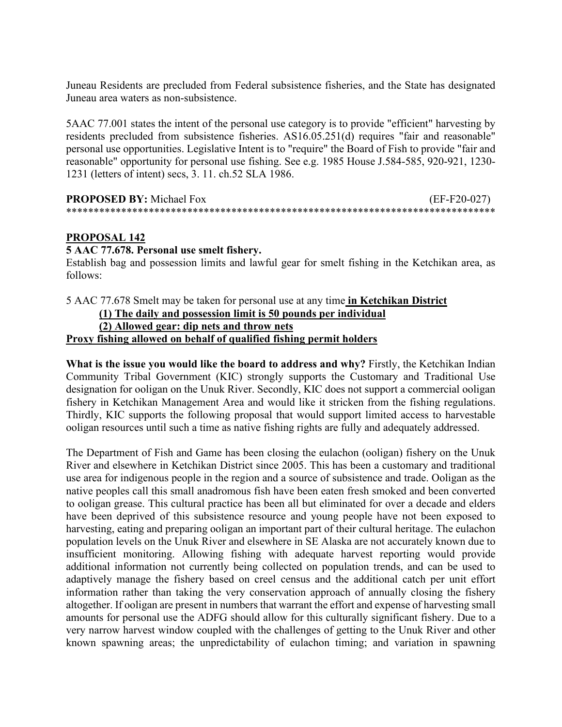Juneau Residents are precluded from Federal subsistence fisheries, and the State has designated Juneau area waters as non-subsistence.

5AAC 77.001 states the intent of the personal use category is to provide "efficient" harvesting by residents precluded from subsistence fisheries. AS16.05.251(d) requires "fair and reasonable" personal use opportunities. Legislative Intent is to "require" the Board of Fish to provide "fair and reasonable" opportunity for personal use fishing. See e.g. 1985 House J.584-585, 920-921, 1230- 1231 (letters of intent) secs, 3. 11. ch.52 SLA 1986.

| <b>PROPOSED BY:</b> Michael Fox | $(EF-F20-027)$ |
|---------------------------------|----------------|
|                                 |                |

### **PROPOSAL 142**

#### **5 AAC 77.678. Personal use smelt fishery.**

Establish bag and possession limits and lawful gear for smelt fishing in the Ketchikan area, as follows:

#### 5 AAC 77.678 Smelt may be taken for personal use at any time **in Ketchikan District (1) The daily and possession limit is 50 pounds per individual (2) Allowed gear: dip nets and throw nets Proxy fishing allowed on behalf of qualified fishing permit holders**

**What is the issue you would like the board to address and why?** Firstly, the Ketchikan Indian Community Tribal Government (KIC) strongly supports the Customary and Traditional Use designation for ooligan on the Unuk River. Secondly, KIC does not support a commercial ooligan fishery in Ketchikan Management Area and would like it stricken from the fishing regulations. Thirdly, KIC supports the following proposal that would support limited access to harvestable ooligan resources until such a time as native fishing rights are fully and adequately addressed.

The Department of Fish and Game has been closing the eulachon (ooligan) fishery on the Unuk River and elsewhere in Ketchikan District since 2005. This has been a customary and traditional use area for indigenous people in the region and a source of subsistence and trade. Ooligan as the native peoples call this small anadromous fish have been eaten fresh smoked and been converted to ooligan grease. This cultural practice has been all but eliminated for over a decade and elders have been deprived of this subsistence resource and young people have not been exposed to harvesting, eating and preparing ooligan an important part of their cultural heritage. The eulachon population levels on the Unuk River and elsewhere in SE Alaska are not accurately known due to insufficient monitoring. Allowing fishing with adequate harvest reporting would provide additional information not currently being collected on population trends, and can be used to adaptively manage the fishery based on creel census and the additional catch per unit effort information rather than taking the very conservation approach of annually closing the fishery altogether. If ooligan are present in numbers that warrant the effort and expense of harvesting small amounts for personal use the ADFG should allow for this culturally significant fishery. Due to a very narrow harvest window coupled with the challenges of getting to the Unuk River and other known spawning areas; the unpredictability of eulachon timing; and variation in spawning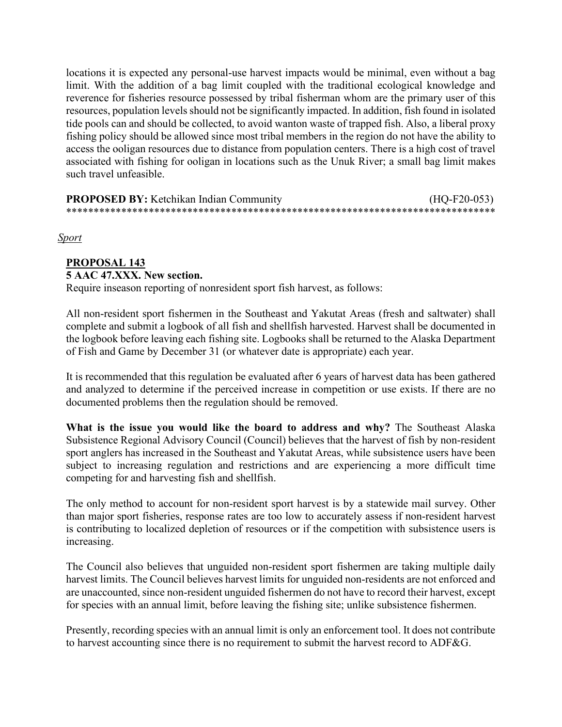locations it is expected any personal-use harvest impacts would be minimal, even without a bag limit. With the addition of a bag limit coupled with the traditional ecological knowledge and reverence for fisheries resource possessed by tribal fisherman whom are the primary user of this resources, population levels should not be significantly impacted. In addition, fish found in isolated tide pools can and should be collected, to avoid wanton waste of trapped fish. Also, a liberal proxy fishing policy should be allowed since most tribal members in the region do not have the ability to access the ooligan resources due to distance from population centers. There is a high cost of travel associated with fishing for ooligan in locations such as the Unuk River; a small bag limit makes such travel unfeasible.

#### **PROPOSED BY:** Ketchikan Indian Community (HQ-F20-053) \*\*\*\*\*\*\*\*\*\*\*\*\*\*\*\*\*\*\*\*\*\*\*\*\*\*\*\*\*\*\*\*\*\*\*\*\*\*\*\*\*\*\*\*\*\*\*\*\*\*\*\*\*\*\*\*\*\*\*\*\*\*\*\*\*\*\*\*\*\*\*\*\*\*\*\*\*\*

*Sport*

# **PROPOSAL 143 5 AAC 47.XXX. New section.**

Require inseason reporting of nonresident sport fish harvest, as follows:

All non-resident sport fishermen in the Southeast and Yakutat Areas (fresh and saltwater) shall complete and submit a logbook of all fish and shellfish harvested. Harvest shall be documented in the logbook before leaving each fishing site. Logbooks shall be returned to the Alaska Department of Fish and Game by December 31 (or whatever date is appropriate) each year.

It is recommended that this regulation be evaluated after 6 years of harvest data has been gathered and analyzed to determine if the perceived increase in competition or use exists. If there are no documented problems then the regulation should be removed.

**What is the issue you would like the board to address and why?** The Southeast Alaska Subsistence Regional Advisory Council (Council) believes that the harvest of fish by non-resident sport anglers has increased in the Southeast and Yakutat Areas, while subsistence users have been subject to increasing regulation and restrictions and are experiencing a more difficult time competing for and harvesting fish and shellfish.

The only method to account for non-resident sport harvest is by a statewide mail survey. Other than major sport fisheries, response rates are too low to accurately assess if non-resident harvest is contributing to localized depletion of resources or if the competition with subsistence users is increasing.

The Council also believes that unguided non-resident sport fishermen are taking multiple daily harvest limits. The Council believes harvest limits for unguided non-residents are not enforced and are unaccounted, since non-resident unguided fishermen do not have to record their harvest, except for species with an annual limit, before leaving the fishing site; unlike subsistence fishermen.

Presently, recording species with an annual limit is only an enforcement tool. It does not contribute to harvest accounting since there is no requirement to submit the harvest record to ADF&G.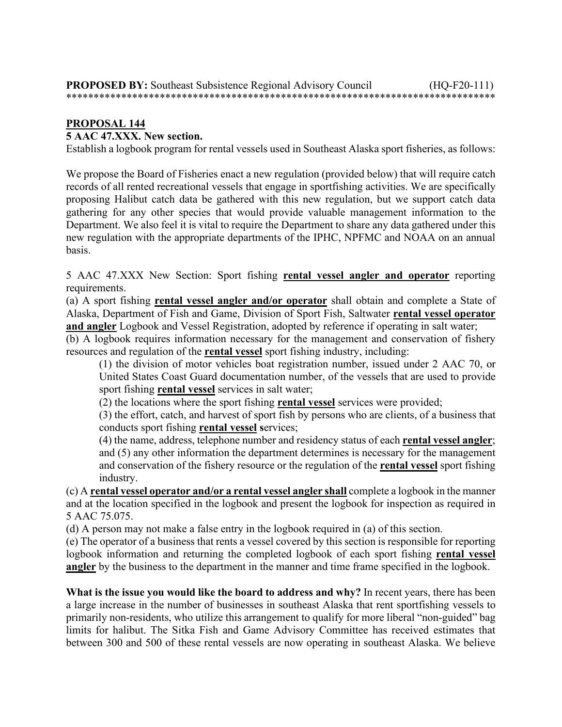## **5 AAC 47.XXX. New section.**

Establish a logbook program for rental vessels used in Southeast Alaska sport fisheries, as follows:

We propose the Board of Fisheries enact a new regulation (provided below) that will require catch records of all rented recreational vessels that engage in sportfishing activities. We are specifically proposing Halibut catch data be gathered with this new regulation, but we support catch data gathering for any other species that would provide valuable management information to the Department. We also feel it is vital to require the Department to share any data gathered under this new regulation with the appropriate departments of the IPHC, NPFMC and NOAA on an annual basis.

5 AAC 47.XXX New Section: Sport fishing **rental vessel angler and operator** reporting requirements.

(a) A sport fishing **rental vessel angler and/or operator** shall obtain and complete a State of Alaska, Department of Fish and Game, Division of Sport Fish, Saltwater **rental vessel operator and angler** Logbook and Vessel Registration, adopted by reference if operating in salt water;

(b) A logbook requires information necessary for the management and conservation of fishery resources and regulation of the **rental vessel** sport fishing industry, including:

(1) the division of motor vehicles boat registration number, issued under 2 AAC 70, or United States Coast Guard documentation number, of the vessels that are used to provide sport fishing **rental vessel** services in salt water;

(2) the locations where the sport fishing **rental vessel** services were provided;

(3) the effort, catch, and harvest of sport fish by persons who are clients, of a business that conducts sport fishing **rental vessel s**ervices;

(4) the name, address, telephone number and residency status of each **rental vessel angler**; and (5) any other information the department determines is necessary for the management and conservation of the fishery resource or the regulation of the **rental vessel** sport fishing industry.

(c) A **rental vessel operator and/or a rental vessel angler shall** complete a logbook in the manner and at the location specified in the logbook and present the logbook for inspection as required in 5 AAC 75.075.

(d) A person may not make a false entry in the logbook required in (a) of this section.

(e) The operator of a business that rents a vessel covered by this section is responsible for reporting logbook information and returning the completed logbook of each sport fishing **rental vessel angler** by the business to the department in the manner and time frame specified in the logbook.

**What is the issue you would like the board to address and why?** In recent years, there has been a large increase in the number of businesses in southeast Alaska that rent sportfishing vessels to primarily non-residents, who utilize this arrangement to qualify for more liberal "non-guided" bag limits for halibut. The Sitka Fish and Game Advisory Committee has received estimates that between 300 and 500 of these rental vessels are now operating in southeast Alaska. We believe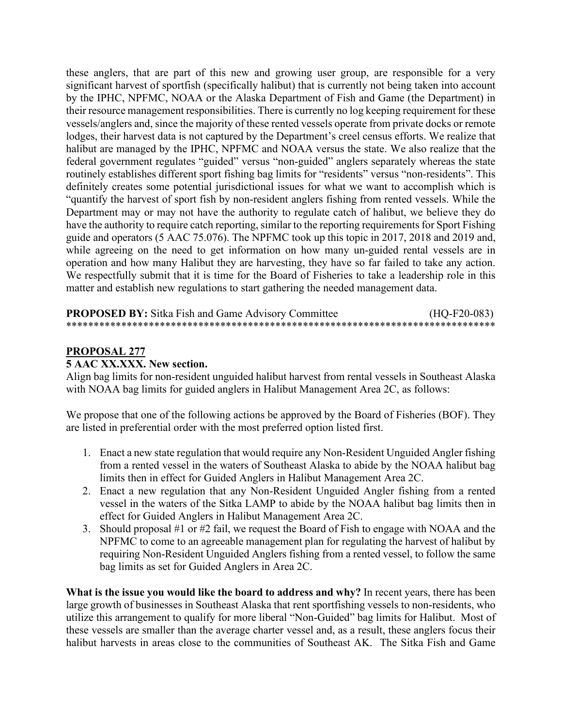these anglers, that are part of this new and growing user group, are responsible for a very significant harvest of sportfish (specifically halibut) that is currently not being taken into account by the IPHC, NPFMC, NOAA or the Alaska Department of Fish and Game (the Department) in their resource management responsibilities. There is currently no log keeping requirement for these vessels/anglers and, since the majority of these rented vessels operate from private docks or remote lodges, their harvest data is not captured by the Department's creel census efforts. We realize that halibut are managed by the IPHC, NPFMC and NOAA versus the state. We also realize that the federal government regulates "guided" versus "non-guided" anglers separately whereas the state routinely establishes different sport fishing bag limits for "residents" versus "non-residents". This definitely creates some potential jurisdictional issues for what we want to accomplish which is "quantify the harvest of sport fish by non-resident anglers fishing from rented vessels. While the Department may or may not have the authority to regulate catch of halibut, we believe they do have the authority to require catch reporting, similar to the reporting requirements for Sport Fishing guide and operators (5 AAC 75.076). The NPFMC took up this topic in 2017, 2018 and 2019 and, while agreeing on the need to get information on how many un-guided rental vessels are in operation and how many Halibut they are harvesting, they have so far failed to take any action. We respectfully submit that it is time for the Board of Fisheries to take a leadership role in this matter and establish new regulations to start gathering the needed management data.

#### **PROPOSED BY:** Sitka Fish and Game Advisory Committee  $(HQ-F20-083)$

# **PROPOSAL 277**

#### 5 AAC XX.XXX. New section.

Align bag limits for non-resident unguided halibut harvest from rental vessels in Southeast Alaska with NOAA bag limits for guided anglers in Halibut Management Area 2C, as follows:

We propose that one of the following actions be approved by the Board of Fisheries (BOF). They are listed in preferential order with the most preferred option listed first.

- 1. Enact a new state regulation that would require any Non-Resident Unguided Angler fishing from a rented vessel in the waters of Southeast Alaska to abide by the NOAA halibut bag limits then in effect for Guided Anglers in Halibut Management Area 2C.
- 2. Enact a new regulation that any Non-Resident Unguided Angler fishing from a rented vessel in the waters of the Sitka LAMP to abide by the NOAA halibut bag limits then in effect for Guided Anglers in Halibut Management Area 2C.
- 3. Should proposal #1 or #2 fail, we request the Board of Fish to engage with NOAA and the NPFMC to come to an agreeable management plan for regulating the harvest of halibut by requiring Non-Resident Unguided Anglers fishing from a rented vessel, to follow the same bag limits as set for Guided Anglers in Area 2C.

What is the issue you would like the board to address and why? In recent years, there has been large growth of businesses in Southeast Alaska that rent sportfishing vessels to non-residents, who utilize this arrangement to qualify for more liberal "Non-Guided" bag limits for Halibut. Most of these vessels are smaller than the average charter vessel and, as a result, these anglers focus their halibut harvests in areas close to the communities of Southeast AK. The Sitka Fish and Game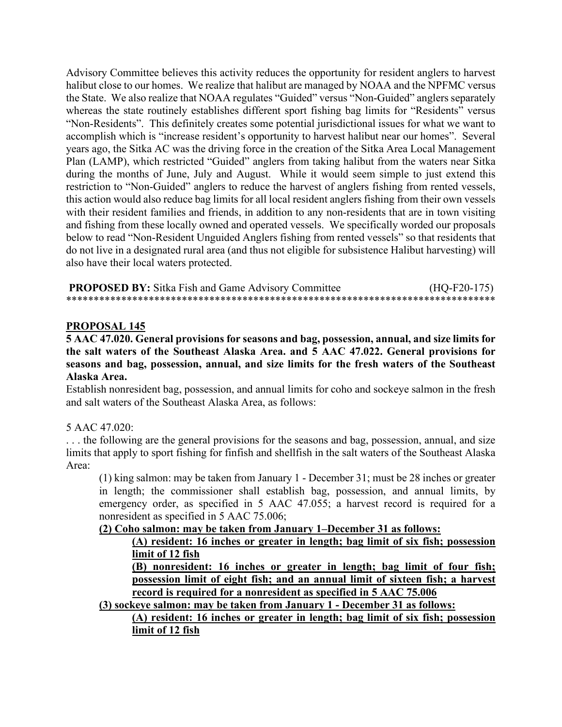Advisory Committee believes this activity reduces the opportunity for resident anglers to harvest halibut close to our homes. We realize that halibut are managed by NOAA and the NPFMC versus the State. We also realize that NOAA regulates "Guided" versus "Non-Guided" anglers separately whereas the state routinely establishes different sport fishing bag limits for "Residents" versus "Non-Residents". This definitely creates some potential jurisdictional issues for what we want to accomplish which is "increase resident's opportunity to harvest halibut near our homes". Several years ago, the Sitka AC was the driving force in the creation of the Sitka Area Local Management Plan (LAMP), which restricted "Guided" anglers from taking halibut from the waters near Sitka during the months of June, July and August. While it would seem simple to just extend this restriction to "Non-Guided" anglers to reduce the harvest of anglers fishing from rented vessels, this action would also reduce bag limits for all local resident anglers fishing from their own vessels with their resident families and friends, in addition to any non-residents that are in town visiting and fishing from these locally owned and operated vessels. We specifically worded our proposals below to read "Non-Resident Unguided Anglers fishing from rented vessels" so that residents that do not live in a designated rural area (and thus not eligible for subsistence Halibut harvesting) will also have their local waters protected.

**PROPOSED BY:** Sitka Fish and Game Advisory Committee (HQ-F20-175) \*\*\*\*\*\*\*\*\*\*\*\*\*\*\*\*\*\*\*\*\*\*\*\*\*\*\*\*\*\*\*\*\*\*\*\*\*\*\*\*\*\*\*\*\*\*\*\*\*\*\*\*\*\*\*\*\*\*\*\*\*\*\*\*\*\*\*\*\*\*\*\*\*\*\*\*\*\*

#### **PROPOSAL 145**

**5 AAC 47.020. General provisions for seasons and bag, possession, annual, and size limits for the salt waters of the Southeast Alaska Area. and 5 AAC 47.022. General provisions for seasons and bag, possession, annual, and size limits for the fresh waters of the Southeast Alaska Area.**

Establish nonresident bag, possession, and annual limits for coho and sockeye salmon in the fresh and salt waters of the Southeast Alaska Area, as follows:

#### 5 AAC 47.020:

. . . the following are the general provisions for the seasons and bag, possession, annual, and size limits that apply to sport fishing for finfish and shellfish in the salt waters of the Southeast Alaska Area:

(1) king salmon: may be taken from January 1 - December 31; must be 28 inches or greater in length; the commissioner shall establish bag, possession, and annual limits, by emergency order, as specified in 5 AAC 47.055; a harvest record is required for a nonresident as specified in 5 AAC 75.006;

#### **(2) Coho salmon: may be taken from January 1–December 31 as follows:**

#### **(A) resident: 16 inches or greater in length; bag limit of six fish; possession limit of 12 fish**

**(B) nonresident: 16 inches or greater in length; bag limit of four fish; possession limit of eight fish; and an annual limit of sixteen fish; a harvest record is required for a nonresident as specified in 5 AAC 75.006**

**(3) sockeye salmon: may be taken from January 1 - December 31 as follows:**

# **(A) resident: 16 inches or greater in length; bag limit of six fish; possession limit of 12 fish**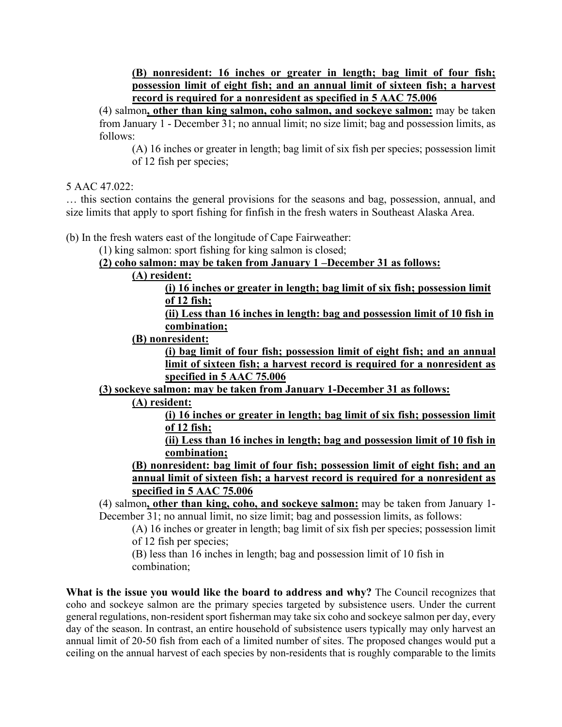**(B) nonresident: 16 inches or greater in length; bag limit of four fish; possession limit of eight fish; and an annual limit of sixteen fish; a harvest record is required for a nonresident as specified in 5 AAC 75.006**

(4) salmon**, other than king salmon, coho salmon, and sockeye salmon:** may be taken from January 1 - December 31; no annual limit; no size limit; bag and possession limits, as follows:

(A) 16 inches or greater in length; bag limit of six fish per species; possession limit of 12 fish per species;

5 AAC 47.022:

… this section contains the general provisions for the seasons and bag, possession, annual, and size limits that apply to sport fishing for finfish in the fresh waters in Southeast Alaska Area.

(b) In the fresh waters east of the longitude of Cape Fairweather:

(1) king salmon: sport fishing for king salmon is closed;

**(2) coho salmon: may be taken from January 1 –December 31 as follows:**

**(A) resident:**

**(i) 16 inches or greater in length; bag limit of six fish; possession limit of 12 fish;**

**(ii) Less than 16 inches in length: bag and possession limit of 10 fish in combination;**

**(B) nonresident:**

**(i) bag limit of four fish; possession limit of eight fish; and an annual limit of sixteen fish; a harvest record is required for a nonresident as specified in 5 AAC 75.006**

**(3) sockeye salmon: may be taken from January 1-December 31 as follows:**

**(A) resident:**

**(i) 16 inches or greater in length; bag limit of six fish; possession limit of 12 fish;**

**(ii) Less than 16 inches in length; bag and possession limit of 10 fish in combination;**

**(B) nonresident: bag limit of four fish; possession limit of eight fish; and an annual limit of sixteen fish; a harvest record is required for a nonresident as specified in 5 AAC 75.006**

(4) salmon**, other than king, coho, and sockeye salmon:** may be taken from January 1- December 31; no annual limit, no size limit; bag and possession limits, as follows:

(A) 16 inches or greater in length; bag limit of six fish per species; possession limit of 12 fish per species;

(B) less than 16 inches in length; bag and possession limit of 10 fish in combination;

**What is the issue you would like the board to address and why?** The Council recognizes that coho and sockeye salmon are the primary species targeted by subsistence users. Under the current general regulations, non-resident sport fisherman may take six coho and sockeye salmon per day, every day of the season. In contrast, an entire household of subsistence users typically may only harvest an annual limit of 20-50 fish from each of a limited number of sites. The proposed changes would put a ceiling on the annual harvest of each species by non-residents that is roughly comparable to the limits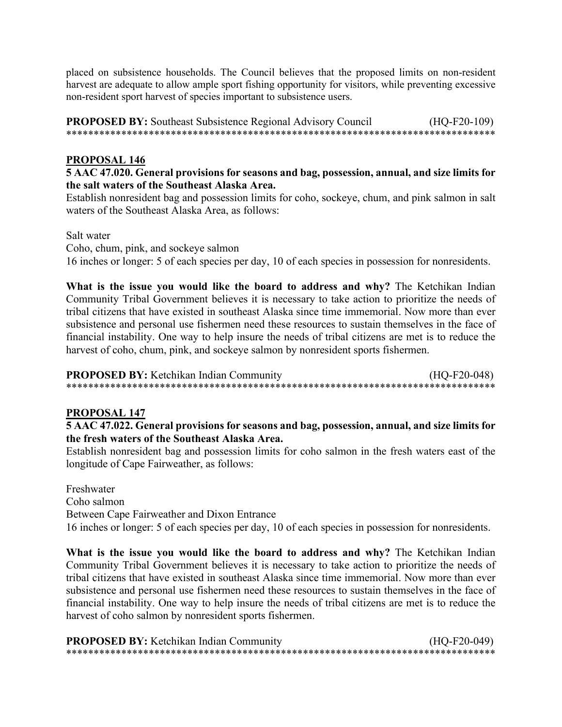placed on subsistence households. The Council believes that the proposed limits on non-resident harvest are adequate to allow ample sport fishing opportunity for visitors, while preventing excessive non-resident sport harvest of species important to subsistence users.

**PROPOSED BY:** Southeast Subsistence Regional Advisory Council  $(HQ-F20-109)$ 

# **PROPOSAL 146**

5 AAC 47.020. General provisions for seasons and bag, possession, annual, and size limits for the salt waters of the Southeast Alaska Area.

Establish nonresident bag and possession limits for coho, sockeye, chum, and pink salmon in salt waters of the Southeast Alaska Area, as follows:

Salt water

Coho, chum, pink, and sockeye salmon

16 inches or longer: 5 of each species per day, 10 of each species in possession for nonresidents.

What is the issue you would like the board to address and why? The Ketchikan Indian Community Tribal Government believes it is necessary to take action to prioritize the needs of tribal citizens that have existed in southeast Alaska since time immemorial. Now more than ever subsistence and personal use fishermen need these resources to sustain themselves in the face of financial instability. One way to help insure the needs of tribal citizens are met is to reduce the harvest of coho, chum, pink, and sockeye salmon by nonresident sports fishermen.

**PROPOSED BY:** Ketchikan Indian Community  $(HQ-F20-048)$ 

### **PROPOSAL 147**

5 AAC 47.022. General provisions for seasons and bag, possession, annual, and size limits for the fresh waters of the Southeast Alaska Area.

Establish nonresident bag and possession limits for coho salmon in the fresh waters east of the longitude of Cape Fairweather, as follows:

Freshwater Coho salmon Between Cape Fairweather and Dixon Entrance 16 inches or longer: 5 of each species per day, 10 of each species in possession for nonresidents.

What is the issue you would like the board to address and why? The Ketchikan Indian Community Tribal Government believes it is necessary to take action to prioritize the needs of tribal citizens that have existed in southeast Alaska since time immemorial. Now more than ever subsistence and personal use fishermen need these resources to sustain themselves in the face of financial instability. One way to help insure the needs of tribal citizens are met is to reduce the harvest of coho salmon by nonresident sports fishermen.

| <b>PROPOSED BY:</b> Ketchikan Indian Community | $(HQ-F20-049)$ |
|------------------------------------------------|----------------|
|                                                |                |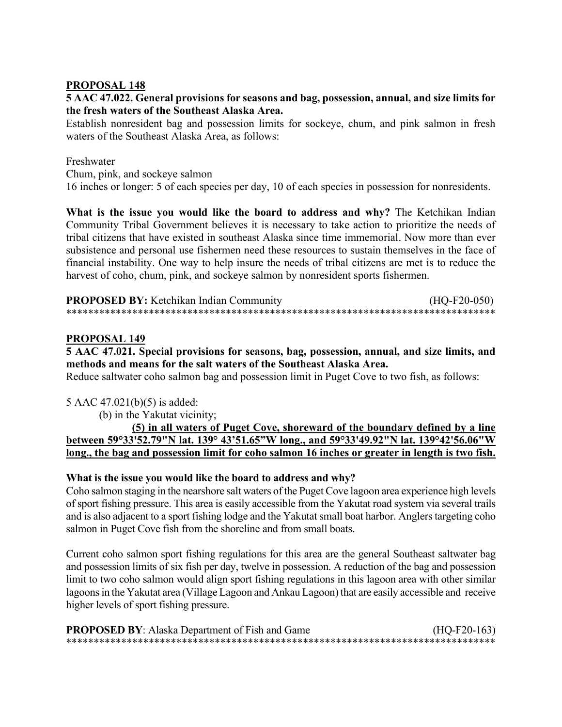# **5 AAC 47.022. General provisions for seasons and bag, possession, annual, and size limits for the fresh waters of the Southeast Alaska Area.**

Establish nonresident bag and possession limits for sockeye, chum, and pink salmon in fresh waters of the Southeast Alaska Area, as follows:

# Freshwater

Chum, pink, and sockeye salmon

16 inches or longer: 5 of each species per day, 10 of each species in possession for nonresidents.

**What is the issue you would like the board to address and why?** The Ketchikan Indian Community Tribal Government believes it is necessary to take action to prioritize the needs of tribal citizens that have existed in southeast Alaska since time immemorial. Now more than ever subsistence and personal use fishermen need these resources to sustain themselves in the face of financial instability. One way to help insure the needs of tribal citizens are met is to reduce the harvest of coho, chum, pink, and sockeye salmon by nonresident sports fishermen.

| <b>PROPOSED BY:</b> Ketchikan Indian Community | $(HQ-F20-050)$ |
|------------------------------------------------|----------------|
|                                                |                |

### **PROPOSAL 149**

**5 AAC 47.021. Special provisions for seasons, bag, possession, annual, and size limits, and methods and means for the salt waters of the Southeast Alaska Area.** 

Reduce saltwater coho salmon bag and possession limit in Puget Cove to two fish, as follows:

### 5 AAC 47.021(b)(5) is added:

(b) in the Yakutat vicinity;

 **(5) in all waters of Puget Cove, shoreward of the boundary defined by a line between 59°33'52.79"N lat. 139° 43'51.65"W long., and 59°33'49.92"N lat. 139°42'56.06"W long., the bag and possession limit for coho salmon 16 inches or greater in length is two fish.**

### **What is the issue you would like the board to address and why?**

Coho salmon staging in the nearshore salt waters of the Puget Cove lagoon area experience high levels of sport fishing pressure. This area is easily accessible from the Yakutat road system via several trails and is also adjacent to a sport fishing lodge and the Yakutat small boat harbor. Anglers targeting coho salmon in Puget Cove fish from the shoreline and from small boats.

Current coho salmon sport fishing regulations for this area are the general Southeast saltwater bag and possession limits of six fish per day, twelve in possession. A reduction of the bag and possession limit to two coho salmon would align sport fishing regulations in this lagoon area with other similar lagoons in the Yakutat area (Village Lagoon and Ankau Lagoon) that are easily accessible and receive higher levels of sport fishing pressure.

| <b>PROPOSED BY:</b> Alaska Department of Fish and Game | $(HQ-F20-163)$ |
|--------------------------------------------------------|----------------|
|                                                        |                |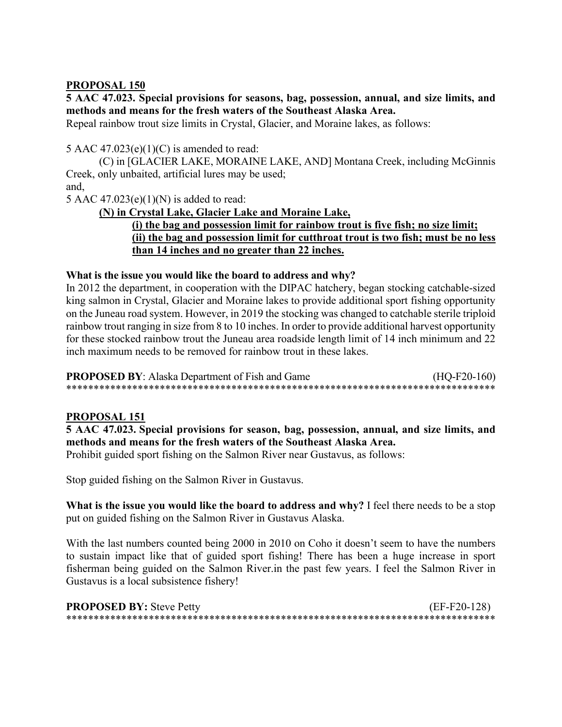**5 AAC 47.023. Special provisions for seasons, bag, possession, annual, and size limits, and methods and means for the fresh waters of the Southeast Alaska Area.**

Repeal rainbow trout size limits in Crystal, Glacier, and Moraine lakes, as follows:

5 AAC  $47.023(e)(1)(C)$  is amended to read:

(C) in [GLACIER LAKE, MORAINE LAKE, AND] Montana Creek, including McGinnis Creek, only unbaited, artificial lures may be used; and,

5 AAC  $47.023(e)(1)(N)$  is added to read:

**(N) in Crystal Lake, Glacier Lake and Moraine Lake,**

# **(i) the bag and possession limit for rainbow trout is five fish; no size limit; (ii) the bag and possession limit for cutthroat trout is two fish; must be no less than 14 inches and no greater than 22 inches.**

### **What is the issue you would like the board to address and why?**

In 2012 the department, in cooperation with the DIPAC hatchery, began stocking catchable-sized king salmon in Crystal, Glacier and Moraine lakes to provide additional sport fishing opportunity on the Juneau road system. However, in 2019 the stocking was changed to catchable sterile triploid rainbow trout ranging in size from 8 to 10 inches. In order to provide additional harvest opportunity for these stocked rainbow trout the Juneau area roadside length limit of 14 inch minimum and 22 inch maximum needs to be removed for rainbow trout in these lakes.

| <b>PROPOSED BY:</b> Alaska Department of Fish and Game | $(HQ-F20-160)$ |
|--------------------------------------------------------|----------------|
|                                                        |                |

### **PROPOSAL 151**

**5 AAC 47.023. Special provisions for season, bag, possession, annual, and size limits, and methods and means for the fresh waters of the Southeast Alaska Area.**

Prohibit guided sport fishing on the Salmon River near Gustavus, as follows:

Stop guided fishing on the Salmon River in Gustavus.

**What is the issue you would like the board to address and why?** I feel there needs to be a stop put on guided fishing on the Salmon River in Gustavus Alaska.

With the last numbers counted being 2000 in 2010 on Coho it doesn't seem to have the numbers to sustain impact like that of guided sport fishing! There has been a huge increase in sport fisherman being guided on the Salmon River.in the past few years. I feel the Salmon River in Gustavus is a local subsistence fishery!

| <b>PROPOSED BY: Steve Petty</b> | (EF-F20-128) |
|---------------------------------|--------------|
|                                 |              |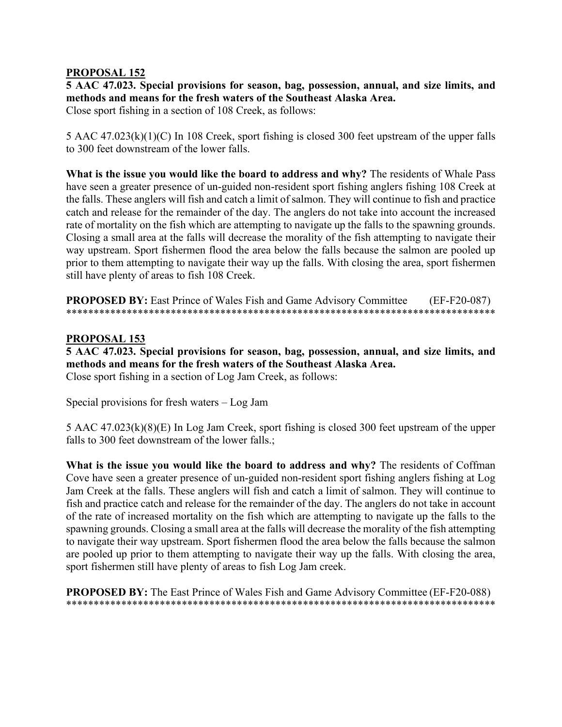**5 AAC 47.023. Special provisions for season, bag, possession, annual, and size limits, and methods and means for the fresh waters of the Southeast Alaska Area.**

Close sport fishing in a section of 108 Creek, as follows:

5 AAC 47.023(k)(1)(C) In 108 Creek, sport fishing is closed 300 feet upstream of the upper falls to 300 feet downstream of the lower falls.

**What is the issue you would like the board to address and why?** The residents of Whale Pass have seen a greater presence of un-guided non-resident sport fishing anglers fishing 108 Creek at the falls. These anglers will fish and catch a limit of salmon. They will continue to fish and practice catch and release for the remainder of the day. The anglers do not take into account the increased rate of mortality on the fish which are attempting to navigate up the falls to the spawning grounds. Closing a small area at the falls will decrease the morality of the fish attempting to navigate their way upstream. Sport fishermen flood the area below the falls because the salmon are pooled up prior to them attempting to navigate their way up the falls. With closing the area, sport fishermen still have plenty of areas to fish 108 Creek.

**PROPOSED BY:** East Prince of Wales Fish and Game Advisory Committee (EF-F20-087) \*\*\*\*\*\*\*\*\*\*\*\*\*\*\*\*\*\*\*\*\*\*\*\*\*\*\*\*\*\*\*\*\*\*\*\*\*\*\*\*\*\*\*\*\*\*\*\*\*\*\*\*\*\*\*\*\*\*\*\*\*\*\*\*\*\*\*\*\*\*\*\*\*\*\*\*\*\*

### **PROPOSAL 153**

**5 AAC 47.023. Special provisions for season, bag, possession, annual, and size limits, and methods and means for the fresh waters of the Southeast Alaska Area.** Close sport fishing in a section of Log Jam Creek, as follows:

Special provisions for fresh waters – Log Jam

5 AAC 47.023(k)(8)(E) In Log Jam Creek, sport fishing is closed 300 feet upstream of the upper falls to 300 feet downstream of the lower falls.;

**What is the issue you would like the board to address and why?** The residents of Coffman Cove have seen a greater presence of un-guided non-resident sport fishing anglers fishing at Log Jam Creek at the falls. These anglers will fish and catch a limit of salmon. They will continue to fish and practice catch and release for the remainder of the day. The anglers do not take in account of the rate of increased mortality on the fish which are attempting to navigate up the falls to the spawning grounds. Closing a small area at the falls will decrease the morality of the fish attempting to navigate their way upstream. Sport fishermen flood the area below the falls because the salmon are pooled up prior to them attempting to navigate their way up the falls. With closing the area, sport fishermen still have plenty of areas to fish Log Jam creek.

**PROPOSED BY:** The East Prince of Wales Fish and Game Advisory Committee (EF-F20-088) \*\*\*\*\*\*\*\*\*\*\*\*\*\*\*\*\*\*\*\*\*\*\*\*\*\*\*\*\*\*\*\*\*\*\*\*\*\*\*\*\*\*\*\*\*\*\*\*\*\*\*\*\*\*\*\*\*\*\*\*\*\*\*\*\*\*\*\*\*\*\*\*\*\*\*\*\*\*